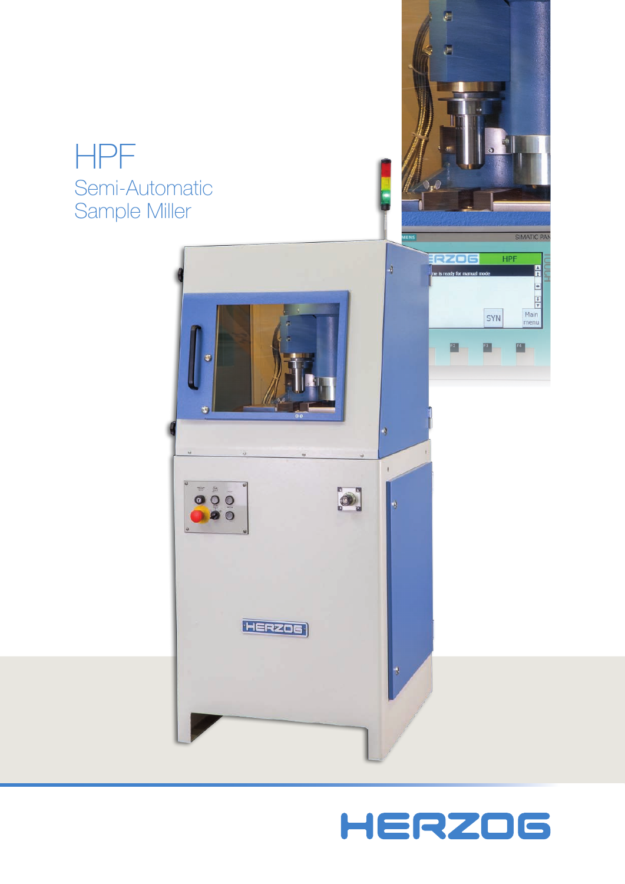# HPF Semi-Automatic Sample Miller



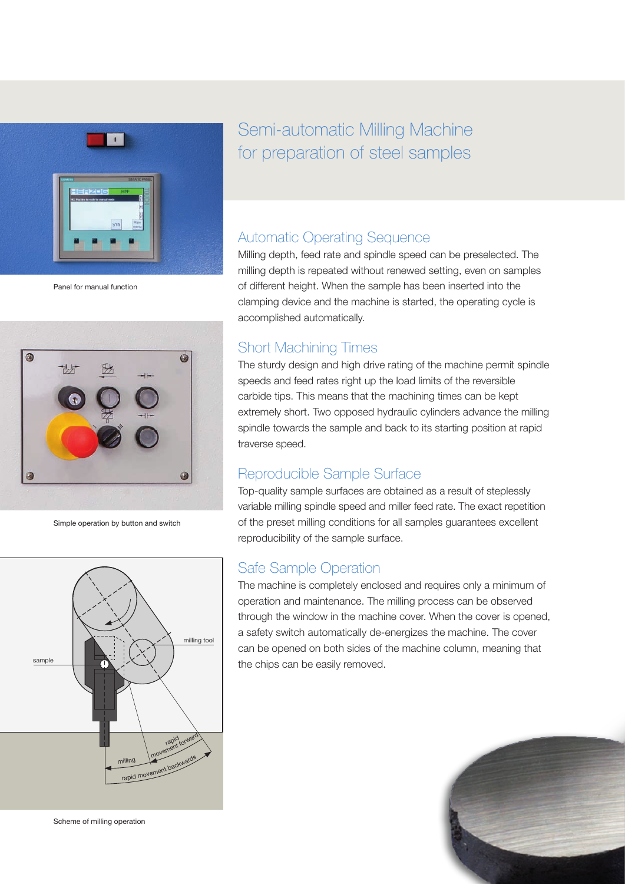

Panel for manual function



Simple operation by button and switch



Semi-automatic Milling Machine for preparation of steel samples

### Automatic Operating Sequence

Milling depth, feed rate and spindle speed can be preselected. The milling depth is repeated without renewed setting, even on samples of different height. When the sample has been inserted into the clamping device and the machine is started, the operating cycle is accomplished automatically.

## Short Machining Times

The sturdy design and high drive rating of the machine permit spindle speeds and feed rates right up the load limits of the reversible carbide tips. This means that the machining times can be kept extremely short. Two opposed hydraulic cylinders advance the milling spindle towards the sample and back to its starting position at rapid traverse speed.

## Reproducible Sample Surface

Top-quality sample surfaces are obtained as a result of steplessly variable milling spindle speed and miller feed rate. The exact repetition of the preset milling conditions for all samples guarantees excellent reproducibility of the sample surface.

## Safe Sample Operation

The machine is completely enclosed and requires only a minimum of operation and maintenance. The milling process can be observed through the window in the machine cover. When the cover is opened, a safety switch automatically de-energizes the machine. The cover can be opened on both sides of the machine column, meaning that the chips can be easily removed.



Scheme of milling operation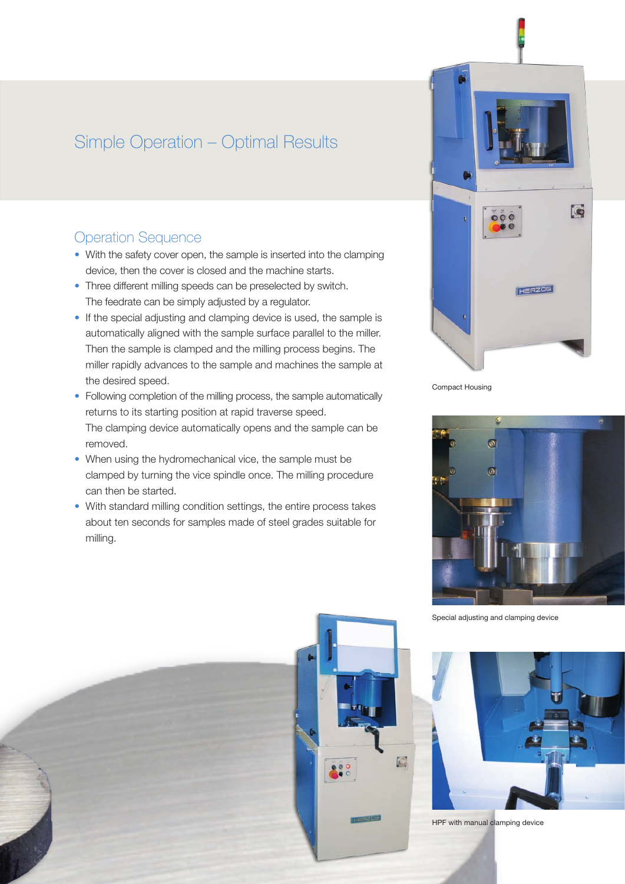## Simple Operation – Optimal Results

## Operation Sequence

- With the safety cover open, the sample is inserted into the clamping device, then the cover is closed and the machine starts.
- Three different milling speeds can be preselected by switch. The feedrate can be simply adjusted by a regulator.
- If the special adjusting and clamping device is used, the sample is automatically aligned with the sample surface parallel to the miller. Then the sample is clamped and the milling process begins. The miller rapidly advances to the sample and machines the sample at the desired speed.
- Following completion of the milling process, the sample automatically returns to its starting position at rapid traverse speed. The clamping device automatically opens and the sample can be removed.
- When using the hydromechanical vice, the sample must be clamped by turning the vice spindle once. The milling procedure can then be started.
- With standard milling condition settings, the entire process takes about ten seconds for samples made of steel grades suitable for milling.



Compact Housing



Special adjusting and clamping device



HPF with manual clamping device